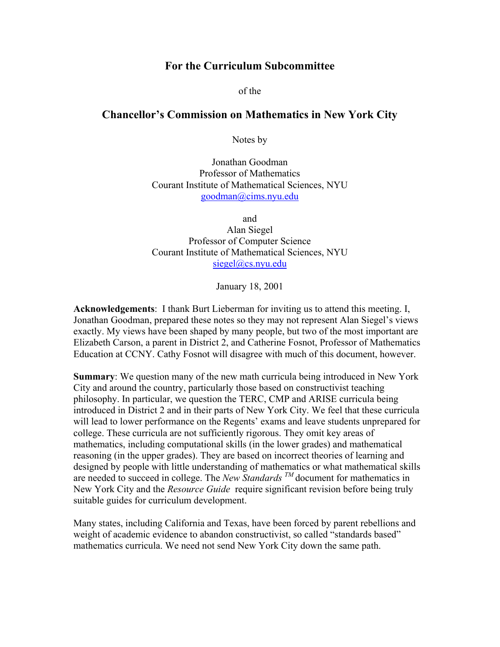## **For the Curriculum Subcommittee**

of the

## **Chancellor's Commission on Mathematics in New York City**

Notes by

Jonathan Goodman Professor of Mathematics Courant Institute of Mathematical Sciences, NYU goodman@cims.nyu.edu

and Alan Siegel Professor of Computer Science Courant Institute of Mathematical Sciences, NYU

siegel@cs.nyu.edu

January 18, 2001

**Acknowledgements**: I thank Burt Lieberman for inviting us to attend this meeting. I, Jonathan Goodman, prepared these notes so they may not represent Alan Siegel's views exactly. My views have been shaped by many people, but two of the most important are Elizabeth Carson, a parent in District 2, and Catherine Fosnot, Professor of Mathematics Education at CCNY. Cathy Fosnot will disagree with much of this document, however.

**Summary**: We question many of the new math curricula being introduced in New York City and around the country, particularly those based on constructivist teaching philosophy. In particular, we question the TERC, CMP and ARISE curricula being introduced in District 2 and in their parts of New York City. We feel that these curricula will lead to lower performance on the Regents' exams and leave students unprepared for college. These curricula are not sufficiently rigorous. They omit key areas of mathematics, including computational skills (in the lower grades) and mathematical reasoning (in the upper grades). They are based on incorrect theories of learning and designed by people with little understanding of mathematics or what mathematical skills are needed to succeed in college. The *New Standards TM* document for mathematics in New York City and the *Resource Guide* require significant revision before being truly suitable guides for curriculum development.

Many states, including California and Texas, have been forced by parent rebellions and weight of academic evidence to abandon constructivist, so called "standards based" mathematics curricula. We need not send New York City down the same path.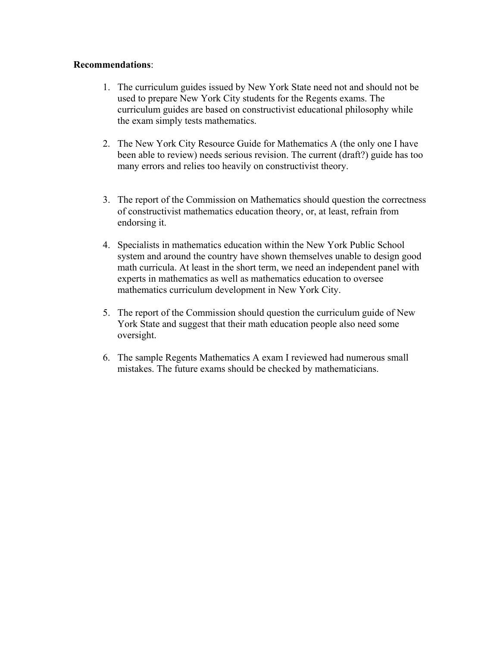## **Recommendations**:

- 1. The curriculum guides issued by New York State need not and should not be used to prepare New York City students for the Regents exams. The curriculum guides are based on constructivist educational philosophy while the exam simply tests mathematics.
- 2. The New York City Resource Guide for Mathematics A (the only one I have been able to review) needs serious revision. The current (draft?) guide has too many errors and relies too heavily on constructivist theory.
- 3. The report of the Commission on Mathematics should question the correctness of constructivist mathematics education theory, or, at least, refrain from endorsing it.
- 4. Specialists in mathematics education within the New York Public School system and around the country have shown themselves unable to design good math curricula. At least in the short term, we need an independent panel with experts in mathematics as well as mathematics education to oversee mathematics curriculum development in New York City.
- 5. The report of the Commission should question the curriculum guide of New York State and suggest that their math education people also need some oversight.
- 6. The sample Regents Mathematics A exam I reviewed had numerous small mistakes. The future exams should be checked by mathematicians.